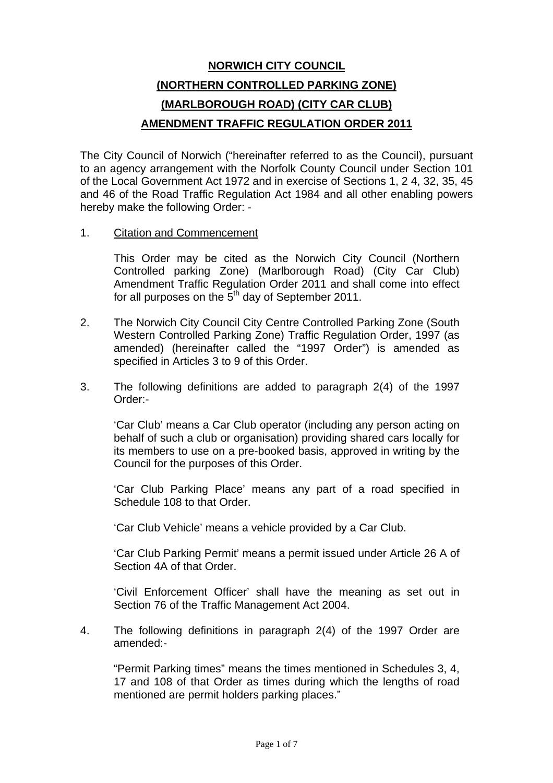# **NORWICH CITY COUNCIL (NORTHERN CONTROLLED PARKING ZONE) (MARLBOROUGH ROAD) (CITY CAR CLUB) AMENDMENT TRAFFIC REGULATION ORDER 2011**

The City Council of Norwich ("hereinafter referred to as the Council), pursuant to an agency arrangement with the Norfolk County Council under Section 101 of the Local Government Act 1972 and in exercise of Sections 1, 2 4, 32, 35, 45 and 46 of the Road Traffic Regulation Act 1984 and all other enabling powers hereby make the following Order: -

#### 1. Citation and Commencement

This Order may be cited as the Norwich City Council (Northern Controlled parking Zone) (Marlborough Road) (City Car Club) Amendment Traffic Regulation Order 2011 and shall come into effect for all purposes on the  $5<sup>th</sup>$  day of September 2011.

- 2. The Norwich City Council City Centre Controlled Parking Zone (South Western Controlled Parking Zone) Traffic Regulation Order, 1997 (as amended) (hereinafter called the "1997 Order") is amended as specified in Articles 3 to 9 of this Order.
- 3. The following definitions are added to paragraph 2(4) of the 1997 Order:-

'Car Club' means a Car Club operator (including any person acting on behalf of such a club or organisation) providing shared cars locally for its members to use on a pre-booked basis, approved in writing by the Council for the purposes of this Order.

'Car Club Parking Place' means any part of a road specified in Schedule 108 to that Order.

'Car Club Vehicle' means a vehicle provided by a Car Club.

'Car Club Parking Permit' means a permit issued under Article 26 A of Section 4A of that Order.

'Civil Enforcement Officer' shall have the meaning as set out in Section 76 of the Traffic Management Act 2004.

4. The following definitions in paragraph 2(4) of the 1997 Order are amended:-

"Permit Parking times" means the times mentioned in Schedules 3, 4, 17 and 108 of that Order as times during which the lengths of road mentioned are permit holders parking places."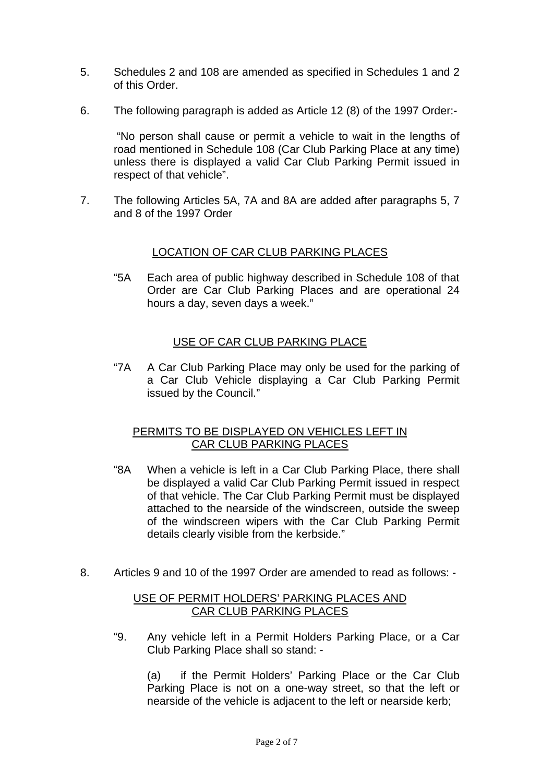- 5. Schedules 2 and 108 are amended as specified in Schedules 1 and 2 of this Order.
- 6. The following paragraph is added as Article 12 (8) of the 1997 Order:-

 "No person shall cause or permit a vehicle to wait in the lengths of road mentioned in Schedule 108 (Car Club Parking Place at any time) unless there is displayed a valid Car Club Parking Permit issued in respect of that vehicle".

7. The following Articles 5A, 7A and 8A are added after paragraphs 5, 7 and 8 of the 1997 Order

#### LOCATION OF CAR CLUB PARKING PLACES

"5A Each area of public highway described in Schedule 108 of that Order are Car Club Parking Places and are operational 24 hours a day, seven days a week."

#### USE OF CAR CLUB PARKING PLACE

"7A A Car Club Parking Place may only be used for the parking of a Car Club Vehicle displaying a Car Club Parking Permit issued by the Council."

#### PERMITS TO BE DISPLAYED ON VEHICLES LEFT IN CAR CLUB PARKING PLACES

- "8A When a vehicle is left in a Car Club Parking Place, there shall be displayed a valid Car Club Parking Permit issued in respect of that vehicle. The Car Club Parking Permit must be displayed attached to the nearside of the windscreen, outside the sweep of the windscreen wipers with the Car Club Parking Permit details clearly visible from the kerbside."
- 8. Articles 9 and 10 of the 1997 Order are amended to read as follows: -

#### USE OF PERMIT HOLDERS' PARKING PLACES AND CAR CLUB PARKING PLACES

"9. Any vehicle left in a Permit Holders Parking Place, or a Car Club Parking Place shall so stand: -

(a) if the Permit Holders' Parking Place or the Car Club Parking Place is not on a one-way street, so that the left or nearside of the vehicle is adjacent to the left or nearside kerb;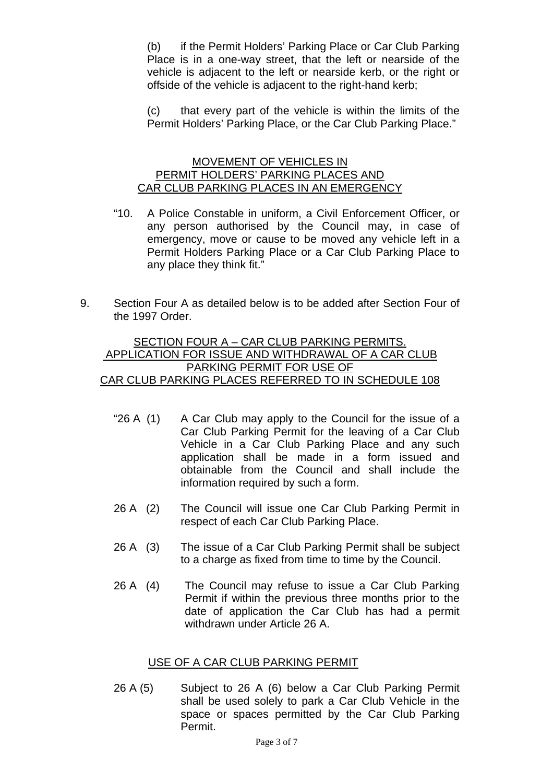(b) if the Permit Holders' Parking Place or Car Club Parking Place is in a one-way street, that the left or nearside of the vehicle is adjacent to the left or nearside kerb, or the right or offside of the vehicle is adjacent to the right-hand kerb;

(c) that every part of the vehicle is within the limits of the Permit Holders' Parking Place, or the Car Club Parking Place."

#### MOVEMENT OF VEHICLES IN PERMIT HOLDERS' PARKING PLACES AND CAR CLUB PARKING PLACES IN AN EMERGENCY

- "10. A Police Constable in uniform, a Civil Enforcement Officer, or any person authorised by the Council may, in case of emergency, move or cause to be moved any vehicle left in a Permit Holders Parking Place or a Car Club Parking Place to any place they think fit."
- 9. Section Four A as detailed below is to be added after Section Four of the 1997 Order.

#### SECTION FOUR A – CAR CLUB PARKING PERMITS. APPLICATION FOR ISSUE AND WITHDRAWAL OF A CAR CLUB PARKING PERMIT FOR USE OF CAR CLUB PARKING PLACES REFERRED TO IN SCHEDULE 108

- "26 A (1) A Car Club may apply to the Council for the issue of a Car Club Parking Permit for the leaving of a Car Club Vehicle in a Car Club Parking Place and any such application shall be made in a form issued and obtainable from the Council and shall include the information required by such a form.
- 26 A (2) The Council will issue one Car Club Parking Permit in respect of each Car Club Parking Place.
- 26 A (3) The issue of a Car Club Parking Permit shall be subject to a charge as fixed from time to time by the Council.
- 26 A (4) The Council may refuse to issue a Car Club Parking Permit if within the previous three months prior to the date of application the Car Club has had a permit withdrawn under Article 26 A.

#### USE OF A CAR CLUB PARKING PERMIT

26 A (5) Subject to 26 A (6) below a Car Club Parking Permit shall be used solely to park a Car Club Vehicle in the space or spaces permitted by the Car Club Parking Permit.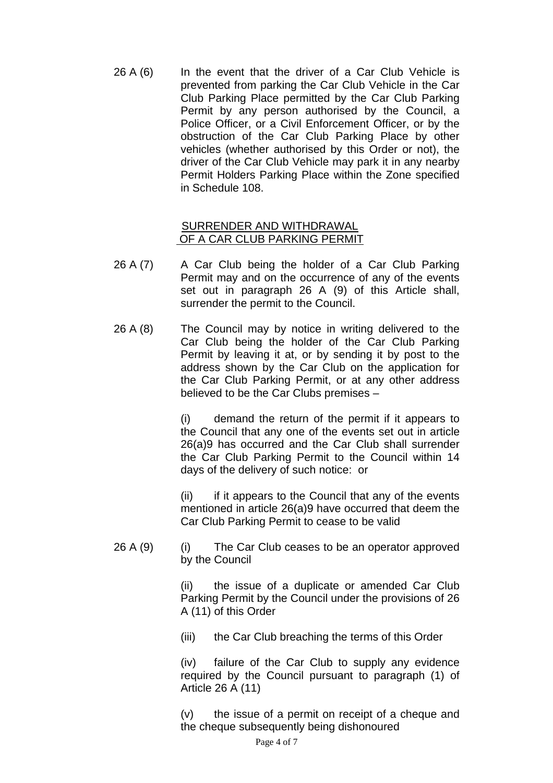26 A (6) In the event that the driver of a Car Club Vehicle is prevented from parking the Car Club Vehicle in the Car Club Parking Place permitted by the Car Club Parking Permit by any person authorised by the Council, a Police Officer, or a Civil Enforcement Officer, or by the obstruction of the Car Club Parking Place by other vehicles (whether authorised by this Order or not), the driver of the Car Club Vehicle may park it in any nearby Permit Holders Parking Place within the Zone specified in Schedule 108.

#### SURRENDER AND WITHDRAWAL OF A CAR CLUB PARKING PERMIT

- 26 A (7) A Car Club being the holder of a Car Club Parking Permit may and on the occurrence of any of the events set out in paragraph 26 A (9) of this Article shall, surrender the permit to the Council.
- 26 A (8) The Council may by notice in writing delivered to the Car Club being the holder of the Car Club Parking Permit by leaving it at, or by sending it by post to the address shown by the Car Club on the application for the Car Club Parking Permit, or at any other address believed to be the Car Clubs premises –

(i) demand the return of the permit if it appears to the Council that any one of the events set out in article 26(a)9 has occurred and the Car Club shall surrender the Car Club Parking Permit to the Council within 14 days of the delivery of such notice: or

(ii) if it appears to the Council that any of the events mentioned in article 26(a)9 have occurred that deem the Car Club Parking Permit to cease to be valid

 $26 A (9)$  (i) The Car Club ceases to be an operator approved by the Council

> (ii) the issue of a duplicate or amended Car Club Parking Permit by the Council under the provisions of 26 A (11) of this Order

(iii) the Car Club breaching the terms of this Order

(iv) failure of the Car Club to supply any evidence required by the Council pursuant to paragraph (1) of Article 26 A (11)

(v) the issue of a permit on receipt of a cheque and the cheque subsequently being dishonoured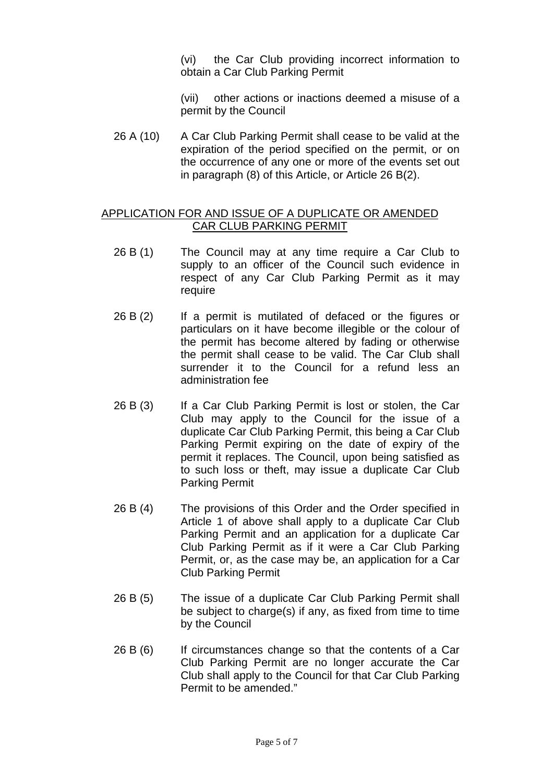(vi) the Car Club providing incorrect information to obtain a Car Club Parking Permit

(vii) other actions or inactions deemed a misuse of a permit by the Council

26 A (10) A Car Club Parking Permit shall cease to be valid at the expiration of the period specified on the permit, or on the occurrence of any one or more of the events set out in paragraph (8) of this Article, or Article 26 B(2).

#### APPLICATION FOR AND ISSUE OF A DUPLICATE OR AMENDED CAR CLUB PARKING PERMIT

- 26 B (1) The Council may at any time require a Car Club to supply to an officer of the Council such evidence in respect of any Car Club Parking Permit as it may require
- 26 B (2) If a permit is mutilated of defaced or the figures or particulars on it have become illegible or the colour of the permit has become altered by fading or otherwise the permit shall cease to be valid. The Car Club shall surrender it to the Council for a refund less an administration fee
- 26 B (3) If a Car Club Parking Permit is lost or stolen, the Car Club may apply to the Council for the issue of a duplicate Car Club Parking Permit, this being a Car Club Parking Permit expiring on the date of expiry of the permit it replaces. The Council, upon being satisfied as to such loss or theft, may issue a duplicate Car Club Parking Permit
- 26 B (4) The provisions of this Order and the Order specified in Article 1 of above shall apply to a duplicate Car Club Parking Permit and an application for a duplicate Car Club Parking Permit as if it were a Car Club Parking Permit, or, as the case may be, an application for a Car Club Parking Permit
- 26 B (5) The issue of a duplicate Car Club Parking Permit shall be subject to charge(s) if any, as fixed from time to time by the Council
- 26 B (6) If circumstances change so that the contents of a Car Club Parking Permit are no longer accurate the Car Club shall apply to the Council for that Car Club Parking Permit to be amended."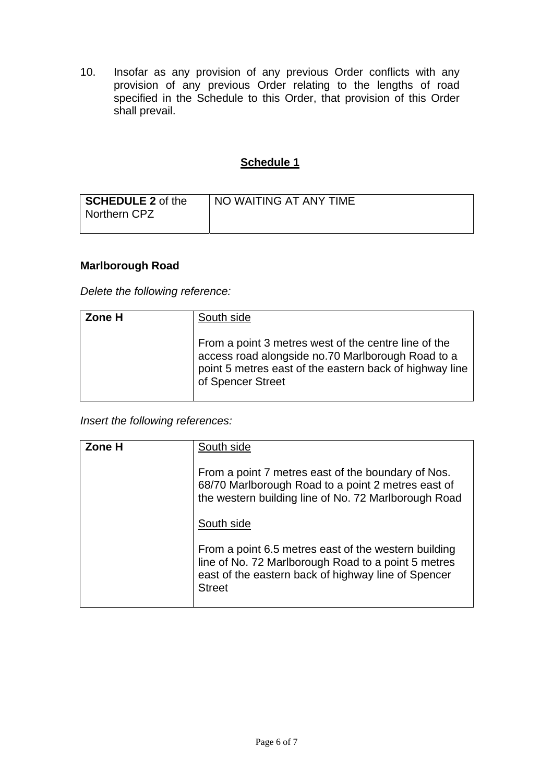10. Insofar as any provision of any previous Order conflicts with any provision of any previous Order relating to the lengths of road specified in the Schedule to this Order, that provision of this Order shall prevail.

### **Schedule 1**

| SCHEDULE 2 of the<br>Northern CPZ | NO WAITING AT ANY TIME |
|-----------------------------------|------------------------|
|                                   |                        |

### **Marlborough Road**

*Delete the following reference:* 

| Zone H | South side                                                                                                                                                                                |
|--------|-------------------------------------------------------------------------------------------------------------------------------------------------------------------------------------------|
|        | From a point 3 metres west of the centre line of the<br>access road alongside no.70 Marlborough Road to a<br>point 5 metres east of the eastern back of highway line<br>of Spencer Street |

*Insert the following references:* 

| Zone H | South side                                                                                                                                                                          |
|--------|-------------------------------------------------------------------------------------------------------------------------------------------------------------------------------------|
|        | From a point 7 metres east of the boundary of Nos.<br>68/70 Marlborough Road to a point 2 metres east of<br>the western building line of No. 72 Marlborough Road                    |
|        | South side                                                                                                                                                                          |
|        | From a point 6.5 metres east of the western building<br>line of No. 72 Marlborough Road to a point 5 metres<br>east of the eastern back of highway line of Spencer<br><b>Street</b> |